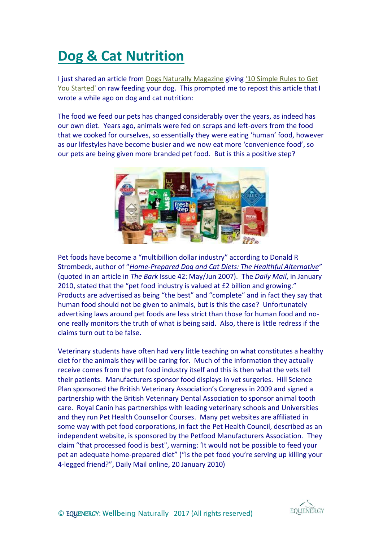## **[Dog & Cat](https://listeninghandzblog.wordpress.com/2014/11/22/dog-cat-nutrition/) Nutrition**

I just shared an article from [Dogs Naturally Magazine](http://www.dogsnaturallymagazine.com/) giving ['10 Simple Rules to Get](http://www.dogsnaturallymagazine.com/raw-feeding-primer/)  [You Started'](http://www.dogsnaturallymagazine.com/raw-feeding-primer/) on raw feeding your dog. This prompted me to repost this article that I wrote a while ago on dog and cat nutrition:

The food we feed our pets has changed considerably over the years, as indeed has our own diet. Years ago, animals were fed on scraps and left-overs from the food that we cooked for ourselves, so essentially they were eating 'human' food, however as our lifestyles have become busier and we now eat more 'convenience food', so our pets are being given more branded pet food. But is this a positive step?



Pet foods have become a "multibillion dollar industry" according to Donald R Strombeck, author of "*[Home-Prepared Dog and Cat Diets: The Healthful Alternative](http://www.dogcathomeprepareddiet.com/index.htm)*" (quoted in an article in *The Bark* Issue 42: May/Jun 2007). The *Daily Mail*, in January 2010, stated that the "pet food industry is valued at £2 billion and growing." Products are advertised as being "the best" and "complete" and in fact they say that human food should not be given to animals, but is this the case? Unfortunately advertising laws around pet foods are less strict than those for human food and noone really monitors the truth of what is being said. Also, there is little redress if the claims turn out to be false.

Veterinary students have often had very little teaching on what constitutes a healthy diet for the animals they will be caring for. Much of the information they actually receive comes from the pet food industry itself and this is then what the vets tell their patients. Manufacturers sponsor food displays in vet surgeries. Hill Science Plan sponsored the British Veterinary Association's Congress in 2009 and signed a partnership with the British Veterinary Dental Association to sponsor animal tooth care. Royal Canin has partnerships with leading veterinary schools and Universities and they run Pet Health Counsellor Courses. Many pet websites are affiliated in some way with pet food corporations, in fact the Pet Health Council, described as an independent website, is sponsored by the Petfood Manufacturers Association. They claim "that processed food is best", warning: 'It would not be possible to feed your pet an adequate home-prepared diet" ("Is the pet food you're serving up killing your 4-legged friend?", Daily Mail online, 20 January 2010)

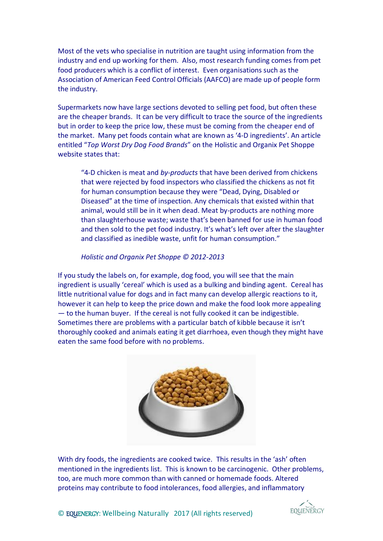Most of the vets who specialise in nutrition are taught using information from the industry and end up working for them. Also, most research funding comes from pet food producers which is a conflict of interest. Even organisations such as the Association of American Feed Control Officials (AAFCO) are made up of people form the industry.

Supermarkets now have large sections devoted to selling pet food, but often these are the cheaper brands. It can be very difficult to trace the source of the ingredients but in order to keep the price low, these must be coming from the cheaper end of the market. Many pet foods contain what are known as '4-D ingredients'. An article entitled "*Top Worst Dry Dog Food Brands*" on the Holistic and Organix Pet Shoppe website states that:

"4-D chicken is meat and *by-products* that have been derived from chickens that were rejected by food inspectors who classified the chickens as not fit for human consumption because they were "Dead, Dying, Disabled or Diseased" at the time of inspection. Any chemicals that existed within that animal, would still be in it when dead. Meat by-products are nothing more than slaughterhouse waste; waste that's been banned for use in human food and then sold to the pet food industry. It's what's left over after the slaughter and classified as inedible waste, unfit for human consumption."

## *Holistic and Organix Pet Shoppe © 2012-2013*

If you study the labels on, for example, dog food, you will see that the main ingredient is usually 'cereal' which is used as a bulking and binding agent. Cereal has little nutritional value for dogs and in fact many can develop allergic reactions to it, however it can help to keep the price down and make the food look more appealing — to the human buyer. If the cereal is not fully cooked it can be indigestible. Sometimes there are problems with a particular batch of kibble because it isn't thoroughly cooked and animals eating it get diarrhoea, even though they might have eaten the same food before with no problems.



With dry foods, the ingredients are cooked twice. This results in the 'ash' often mentioned in the ingredients list. This is known to be carcinogenic. Other problems, too, are much more common than with canned or homemade foods. Altered proteins may contribute to food intolerances, food allergies, and inflammatory

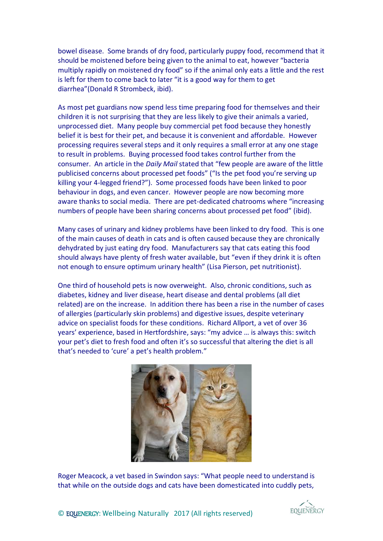bowel disease. Some brands of dry food, particularly puppy food, recommend that it should be moistened before being given to the animal to eat, however "bacteria multiply rapidly on moistened dry food" so if the animal only eats a little and the rest is left for them to come back to later "it is a good way for them to get diarrhea"(Donald R Strombeck, ibid).

As most pet guardians now spend less time preparing food for themselves and their children it is not surprising that they are less likely to give their animals a varied, unprocessed diet. Many people buy commercial pet food because they honestly belief it is best for their pet, and because it is convenient and affordable. However processing requires several steps and it only requires a small error at any one stage to result in problems. Buying processed food takes control further from the consumer. An article in the *Daily Mail* stated that "few people are aware of the little publicised concerns about processed pet foods" ("Is the pet food you're serving up killing your 4-legged friend?"). Some processed foods have been linked to poor behaviour in dogs, and even cancer. However people are now becoming more aware thanks to social media. There are pet-dedicated chatrooms where "increasing numbers of people have been sharing concerns about processed pet food" (ibid).

Many cases of urinary and kidney problems have been linked to dry food. This is one of the main causes of death in cats and is often caused because they are chronically dehydrated by just eating dry food. Manufacturers say that cats eating this food should always have plenty of fresh water available, but "even if they drink it is often not enough to ensure optimum urinary health" (Lisa Pierson, pet nutritionist).

One third of household pets is now overweight. Also, chronic conditions, such as diabetes, kidney and liver disease, heart disease and dental problems (all diet related) are on the increase. In addition there has been a rise in the number of cases of allergies (particularly skin problems) and digestive issues, despite veterinary advice on specialist foods for these conditions. Richard Allport, a vet of over 36 years' experience, based in Hertfordshire, says: "my advice … is always this: switch your pet's diet to fresh food and often it's so successful that altering the diet is all that's needed to 'cure' a pet's health problem."



Roger Meacock, a vet based in Swindon says: "What people need to understand is that while on the outside dogs and cats have been domesticated into cuddly pets,

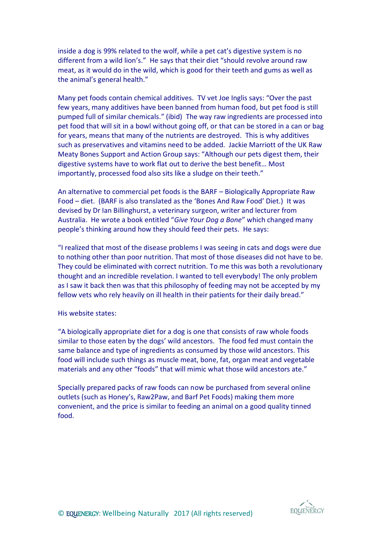inside a dog is 99% related to the wolf, while a pet cat's digestive system is no different from a wild lion's." He says that their diet "should revolve around raw meat, as it would do in the wild, which is good for their teeth and gums as well as the animal's general health."

Many pet foods contain chemical additives. TV vet Joe Inglis says: "Over the past few years, many additives have been banned from human food, but pet food is still pumped full of similar chemicals." (ibid) The way raw ingredients are processed into pet food that will sit in a bowl without going off, or that can be stored in a can or bag for years, means that many of the nutrients are destroyed. This is why additives such as preservatives and vitamins need to be added. Jackie Marriott of the UK Raw Meaty Bones Support and Action Group says: "Although our pets digest them, their digestive systems have to work flat out to derive the best benefit… Most importantly, processed food also sits like a sludge on their teeth."

An alternative to commercial pet foods is the BARF – Biologically Appropriate Raw Food – diet. (BARF is also translated as the 'Bones And Raw Food' Diet.) It was devised by Dr Ian Billinghurst, a veterinary surgeon, writer and lecturer from Australia. He wrote a book entitled "*Give Your Dog a Bone*" which changed many people's thinking around how they should feed their pets. He says:

"I realized that most of the disease problems I was seeing in cats and dogs were due to nothing other than poor nutrition. That most of those diseases did not have to be. They could be eliminated with correct nutrition. To me this was both a revolutionary thought and an incredible revelation. I wanted to tell everybody! The only problem as I saw it back then was that this philosophy of feeding may not be accepted by my fellow vets who rely heavily on ill health in their patients for their daily bread."

His website states:

"A biologically appropriate diet for a dog is one that consists of raw whole foods similar to those eaten by the dogs' wild ancestors. The food fed must contain the same balance and type of ingredients as consumed by those wild ancestors. This food will include such things as muscle meat, bone, fat, organ meat and vegetable materials and any other "foods" that will mimic what those wild ancestors ate."

Specially prepared packs of raw foods can now be purchased from several online outlets (such as Honey's, Raw2Paw, and Barf Pet Foods) making them more convenient, and the price is similar to feeding an animal on a good quality tinned food.

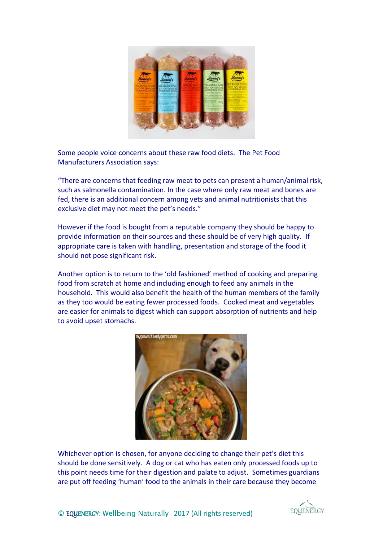

Some people voice concerns about these raw food diets. The Pet Food Manufacturers Association says:

"There are concerns that feeding raw meat to pets can present a human/animal risk, such as salmonella contamination. In the case where only raw meat and bones are fed, there is an additional concern among vets and animal nutritionists that this exclusive diet may not meet the pet's needs."

However if the food is bought from a reputable company they should be happy to provide information on their sources and these should be of very high quality. If appropriate care is taken with handling, presentation and storage of the food it should not pose significant risk.

Another option is to return to the 'old fashioned' method of cooking and preparing food from scratch at home and including enough to feed any animals in the household. This would also benefit the health of the human members of the family as they too would be eating fewer processed foods. Cooked meat and vegetables are easier for animals to digest which can support absorption of nutrients and help to avoid upset stomachs.



Whichever option is chosen, for anyone deciding to change their pet's diet this should be done sensitively. A dog or cat who has eaten only processed foods up to this point needs time for their digestion and palate to adjust. Sometimes guardians are put off feeding 'human' food to the animals in their care because they become

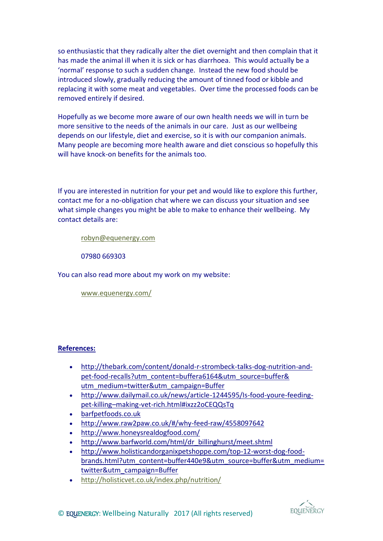so enthusiastic that they radically alter the diet overnight and then complain that it has made the animal ill when it is sick or has diarrhoea. This would actually be a 'normal' response to such a sudden change. Instead the new food should be introduced slowly, gradually reducing the amount of tinned food or kibble and replacing it with some meat and vegetables. Over time the processed foods can be removed entirely if desired.

Hopefully as we become more aware of our own health needs we will in turn be more sensitive to the needs of the animals in our care. Just as our wellbeing depends on our lifestyle, diet and exercise, so it is with our companion animals. Many people are becoming more health aware and diet conscious so hopefully this will have knock-on benefits for the animals too.

If you are interested in nutrition for your pet and would like to explore this further, contact me for a no-obligation chat where we can discuss your situation and see what simple changes you might be able to make to enhance their wellbeing. My contact details are:

[robyn@equenergy.com](mailto:robyn@equenergy.com)

07980 669303

You can also read more about my work on my website:

[www.equenergy.com/](http://www.equenergy.com/)

## **References:**

- [http://thebark.com/content/donald-r-strombeck-talks-dog-nutrition-and](http://thebark.com/content/donald-r-strombeck-talks-dog-nutrition-and-pet-food-recalls?utm_content=buffera6164&utm_source=buffer&%20utm_medium=twitter&utm_campaign=Buffer)[pet-food-recalls?utm\\_content=buffera6164&utm\\_source=buffer&](http://thebark.com/content/donald-r-strombeck-talks-dog-nutrition-and-pet-food-recalls?utm_content=buffera6164&utm_source=buffer&%20utm_medium=twitter&utm_campaign=Buffer) [utm\\_medium=twitter&utm\\_campaign=Buffer](http://thebark.com/content/donald-r-strombeck-talks-dog-nutrition-and-pet-food-recalls?utm_content=buffera6164&utm_source=buffer&%20utm_medium=twitter&utm_campaign=Buffer)
- [http://www.dailymail.co.uk/news/article-1244595/Is-food-youre-feeding](http://www.dailymail.co.uk/news/article-1244595/Is-food-youre-feeding-pet-killing--making-vet-rich.html#ixzz2oCEQQsTq)pet-killing–[making-vet-rich.html#ixzz2oCEQQsTq](http://www.dailymail.co.uk/news/article-1244595/Is-food-youre-feeding-pet-killing--making-vet-rich.html#ixzz2oCEQQsTq)
- [barfpetfoods.co.uk](https://listeninghandzblog.wordpress.com/page/3/barfpetfoods.co.uk)
- <http://www.raw2paw.co.uk/#/why-feed-raw/4558097642>
- <http://www.honeysrealdogfood.com/>
- [http://www.barfworld.com/html/dr\\_billinghurst/meet.shtml](http://www.barfworld.com/html/dr_billinghurst/meet.shtml)
- [http://www.holisticandorganixpetshoppe.com/top-12-worst-dog-food](http://www.holisticandorganixpetshoppe.com/top-12-worst-dog-food-brands.html?utm_content=buffer440e9&utm_source=buffer&utm_medium=twitter&utm_campaign=Buffer)[brands.html?utm\\_content=buffer440e9&utm\\_source=buffer&utm\\_medium=](http://www.holisticandorganixpetshoppe.com/top-12-worst-dog-food-brands.html?utm_content=buffer440e9&utm_source=buffer&utm_medium=twitter&utm_campaign=Buffer) [twitter&utm\\_campaign=Buffer](http://www.holisticandorganixpetshoppe.com/top-12-worst-dog-food-brands.html?utm_content=buffer440e9&utm_source=buffer&utm_medium=twitter&utm_campaign=Buffer)
- <http://holisticvet.co.uk/index.php/nutrition/>